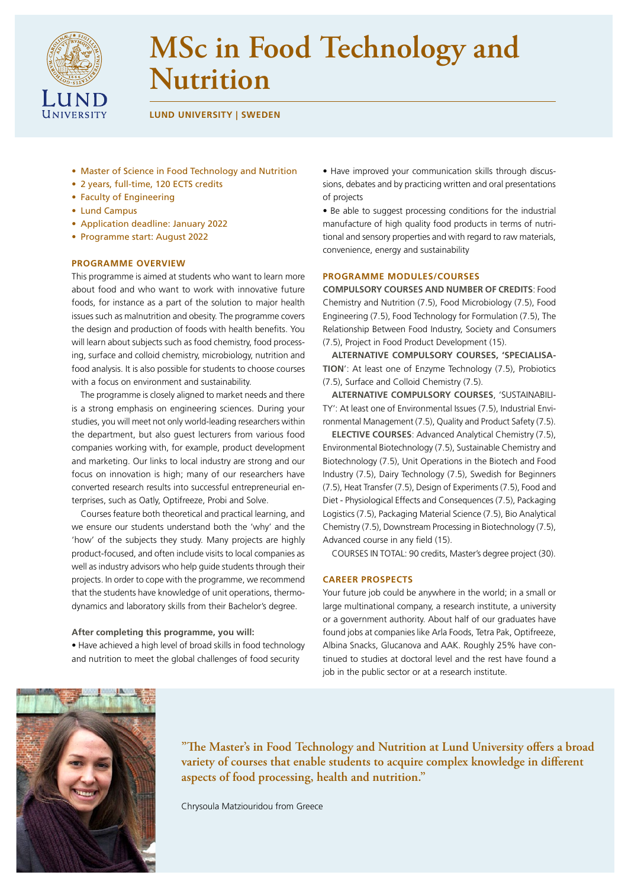

# **MSc in Food Technology and Nutrition**

**LUND UNIVERSITY | SWEDEN**

- Master of Science in Food Technology and Nutrition
- 2 years, full-time, 120 ECTS credits
- Faculty of Engineering
- Lund Campus
- Application deadline: January 2022
- Programme start: August 2022

# **PROGRAMME OVERVIEW**

This programme is aimed at students who want to learn more about food and who want to work with innovative future foods, for instance as a part of the solution to major health issues such as malnutrition and obesity. The programme covers the design and production of foods with health benefits. You will learn about subjects such as food chemistry, food processing, surface and colloid chemistry, microbiology, nutrition and food analysis. It is also possible for students to choose courses with a focus on environment and sustainability.

The programme is closely aligned to market needs and there is a strong emphasis on engineering sciences. During your studies, you will meet not only world-leading researchers within the department, but also guest lecturers from various food companies working with, for example, product development and marketing. Our links to local industry are strong and our focus on innovation is high; many of our researchers have converted research results into successful entrepreneurial enterprises, such as Oatly, Optifreeze, Probi and Solve.

Courses feature both theoretical and practical learning, and we ensure our students understand both the 'why' and the 'how' of the subjects they study. Many projects are highly product-focused, and often include visits to local companies as well as industry advisors who help guide students through their projects. In order to cope with the programme, we recommend that the students have knowledge of unit operations, thermodynamics and laboratory skills from their Bachelor's degree.

## **After completing this programme, you will:**

• Have achieved a high level of broad skills in food technology and nutrition to meet the global challenges of food security

• Have improved your communication skills through discussions, debates and by practicing written and oral presentations of projects

• Be able to suggest processing conditions for the industrial manufacture of high quality food products in terms of nutritional and sensory properties and with regard to raw materials, convenience, energy and sustainability

## **PROGRAMME MODULES/COURSES**

**COMPULSORY COURSES AND NUMBER OF CREDITS**: Food Chemistry and Nutrition (7.5), Food Microbiology (7.5), Food Engineering (7.5), Food Technology for Formulation (7.5), The Relationship Between Food Industry, Society and Consumers (7.5), Project in Food Product Development (15).

**ALTERNATIVE COMPULSORY COURSES, 'SPECIALISA-TION**': At least one of Enzyme Technology (7.5), Probiotics (7.5), Surface and Colloid Chemistry (7.5).

**ALTERNATIVE COMPULSORY COURSES**, 'SUSTAINABILI-TY': At least one of Environmental Issues (7.5), Industrial Environmental Management (7.5), Quality and Product Safety (7.5).

**ELECTIVE COURSES**: Advanced Analytical Chemistry (7.5), Environmental Biotechnology (7.5), Sustainable Chemistry and Biotechnology (7.5), Unit Operations in the Biotech and Food Industry (7.5), Dairy Technology (7.5), Swedish for Beginners (7.5), Heat Transfer (7.5), Design of Experiments (7.5), Food and Diet - Physiological Effects and Consequences (7.5), Packaging Logistics (7.5), Packaging Material Science (7.5), Bio Analytical Chemistry (7.5), Downstream Processing in Biotechnology (7.5), Advanced course in any field (15).

COURSES IN TOTAL: 90 credits, Master's degree project (30).

#### **CAREER PROSPECTS**

Your future job could be anywhere in the world; in a small or large multinational company, a research institute, a university or a government authority. About half of our graduates have found jobs at companies like Arla Foods, Tetra Pak, Optifreeze, Albina Snacks, Glucanova and AAK. Roughly 25% have continued to studies at doctoral level and the rest have found a job in the public sector or at a research institute.



**"The Master's in Food Technology and Nutrition at Lund University offers a broad variety of courses that enable students to acquire complex knowledge in different aspects of food processing, health and nutrition."**

Chrysoula Matziouridou from Greece